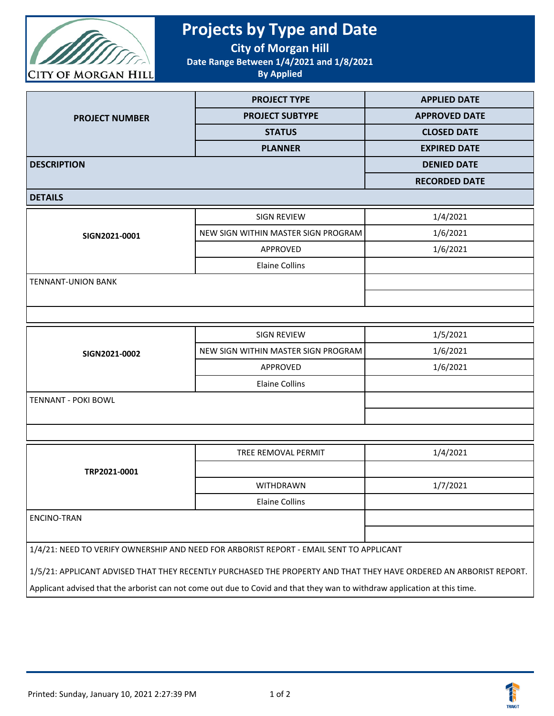

## **Projects by Type and Date**

**City of Morgan Hill**

**Date Range Between 1/4/2021 and 1/8/2021**

**By Applied**

|                       | <b>PROJECT TYPE</b>    | <b>APPLIED DATE</b>  |  |
|-----------------------|------------------------|----------------------|--|
| <b>PROJECT NUMBER</b> | <b>PROJECT SUBTYPE</b> | <b>APPROVED DATE</b> |  |
|                       | <b>STATUS</b>          | <b>CLOSED DATE</b>   |  |
|                       | <b>PLANNER</b>         | <b>EXPIRED DATE</b>  |  |
| <b>DESCRIPTION</b>    |                        | <b>DENIED DATE</b>   |  |
|                       |                        | <b>RECORDED DATE</b> |  |
| ------                |                        |                      |  |

## **DETAILS**

| SIGN2021-0001             | SIGN REVIEW                         | 1/4/2021 |
|---------------------------|-------------------------------------|----------|
|                           | NEW SIGN WITHIN MASTER SIGN PROGRAM | 1/6/2021 |
|                           | APPROVED                            | 1/6/2021 |
|                           | <b>Elaine Collins</b>               |          |
| <b>TENNANT-UNION BANK</b> |                                     |          |
|                           |                                     |          |
|                           |                                     |          |

| SIGN2021-0002              | SIGN REVIEW                         | 1/5/2021 |
|----------------------------|-------------------------------------|----------|
|                            | NEW SIGN WITHIN MASTER SIGN PROGRAM | 1/6/2021 |
|                            | APPROVED                            | 1/6/2021 |
|                            | Elaine Collins                      |          |
| <b>TENNANT - POKI BOWL</b> |                                     |          |
|                            |                                     |          |
|                            |                                     |          |

| TRP2021-0001                                                                            | TREE REMOVAL PERMIT | 1/4/2021 |
|-----------------------------------------------------------------------------------------|---------------------|----------|
|                                                                                         |                     |          |
|                                                                                         | <b>WITHDRAWN</b>    | 1/7/2021 |
|                                                                                         | Elaine Collins      |          |
| ENCINO-TRAN                                                                             |                     |          |
|                                                                                         |                     |          |
| 1/4/21: NEED TO VERIFY OWNERSHIP AND NEED FOR ARBORIST REPORT - EMAIL SENT TO APPLICANT |                     |          |

1/5/21: APPLICANT ADVISED THAT THEY RECENTLY PURCHASED THE PROPERTY AND THAT THEY HAVE ORDERED AN ARBORIST REPORT.

Applicant advised that the arborist can not come out due to Covid and that they wan to withdraw application at this time.